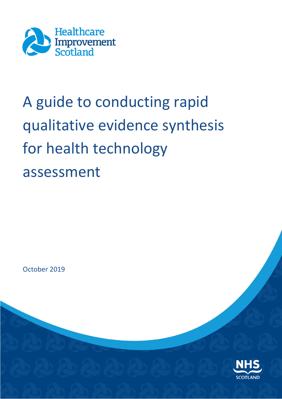

# A guide to conducting rapid qualitative evidence synthesis for health technology assessment

October 2019

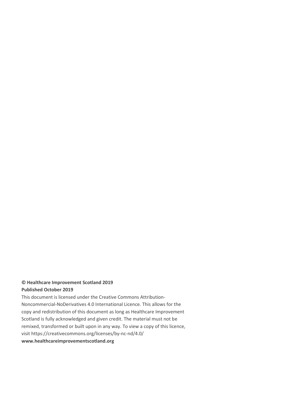#### **© Healthcare Improvement Scotland 2019 Published October 2019**

This document is licensed under the Creative Commons Attribution-Noncommercial-NoDerivatives 4.0 International Licence. This allows for the copy and redistribution of this document as long as Healthcare Improvement Scotland is fully acknowledged and given credit. The material must not be remixed, transformed or built upon in any way. To view a copy of this licence, visit https://creativecommons.org/licenses/by-nc-nd/4.0/

#### **www.healthcareimprovementscotland.org**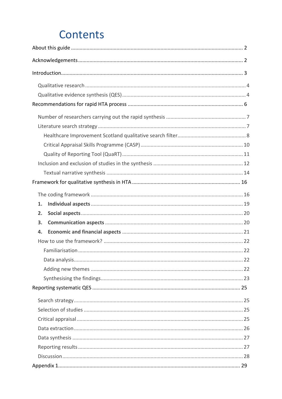## **Contents**

| 1.       |
|----------|
|          |
|          |
| 2.       |
| 3.<br>4. |
|          |
|          |
|          |
|          |
|          |
|          |
|          |
|          |
|          |
|          |
|          |
|          |
|          |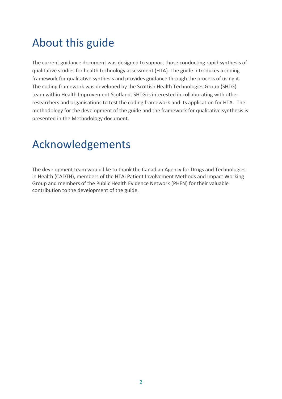## <span id="page-3-0"></span>About this guide

The current guidance document was designed to support those conducting rapid synthesis of qualitative studies for health technology assessment (HTA). The guide introduces a coding framework for qualitative synthesis and provides guidance through the process of using it. The coding framework was developed by the Scottish Health Technologies Group (SHTG) team within Health Improvement Scotland. SHTG is interested in collaborating with other researchers and organisations to test the coding framework and its application for HTA. The methodology for the development of the guide and the framework for qualitative synthesis is presented in the Methodology document.

## <span id="page-3-1"></span>Acknowledgements

The development team would like to thank the Canadian Agency for Drugs and Technologies in Health (CADTH), members of the HTAi Patient Involvement Methods and Impact Working Group and members of the Public Health Evidence Network (PHEN) for their valuable contribution to the development of the guide.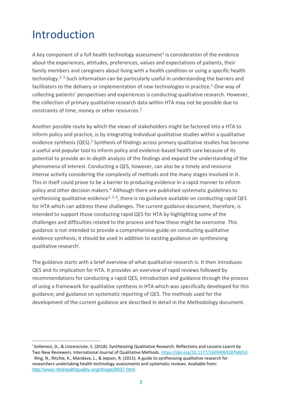## <span id="page-4-0"></span>Introduction

 $\overline{a}$ 

A key component of a full health technology assessment<sup>1</sup> is consideration of the evidence about the experiences, attitudes, preferences, values and expectations of patients, their family members and caregivers about living with a health condition or using a specific health technology.<sup>2, 3</sup> Such information can be particularly useful in understanding the barriers and facilitators to the delivery or implementation of new technologies in practice.<sup>1</sup> One way of collecting patients' perspectives and experiences is conducting qualitative research. However, the collection of primary qualitative research data within HTA may not be possible due to constraints of time, money or other resources.<sup>2</sup>

Another possible route by which the views of stakeholders might be factored into a HTA to inform policy and practice, is by integrating individual qualitative studies within a qualitative evidence synthesis (QES).<sup>2</sup> Synthesis of findings across primary qualitative studies has become a useful and popular tool to inform policy and evidence-based health care because of its potential to provide an in-depth analysis of the findings and expand the understanding of the phenomena of interest. Conducting a QES, however, can also be a timely and resource intense activity considering the complexity of methods and the many stages involved in it. This in itself could prove to be a barrier to producing evidence in a rapid manner to inform policy and other decision makers.<sup>4</sup> Although there are published systematic guidelines to synthesising qualitative evidence<sup>1, 5, 6</sup>, there is no guidance available on conducting rapid QES for HTA which can address these challenges. The current guidance document, therefore, is intended to support those conducting rapid QES for HTA by highlighting some of the challenges and difficulties related to the process and how these might be overcome. This guidance is not intended to provide a comprehensive guide on conducting qualitative evidence synthesis, it should be used in addition to existing guidance on synthesising qualitative research<sup>i</sup>.

The guidance starts with a brief overview of what qualitative research is. It then introduces QES and its implication for HTA. It provides an overview of rapid reviews followed by recommendations for conducting a rapid QES; introduction and guidance through the process of using a framework for qualitative synthesis in HTA which was specifically developed for this guidance; and guidance on systematic reporting of QES. The methods used for the development of the current guidance are described in detail in the Methodology document.

i Soilemezi, D., & Linceviciute, S. (2018). Synthesizing Qualitative Research: Reflections and Lessons Learnt by Two New Reviewers. International Journal of Qualitative Methods[. https://doi.org/10.1177/1609406918768014](https://doi.org/10.1177/1609406918768014) Ring, N., Ritchie, K., Mandava, L., & Jepson, R. (2011). A guide to synthesising qualitative research for researchers undertaking health technology assessments and systematic reviews. Available from: <http://www.nhshealthquality.org/nhsqis/8837.html>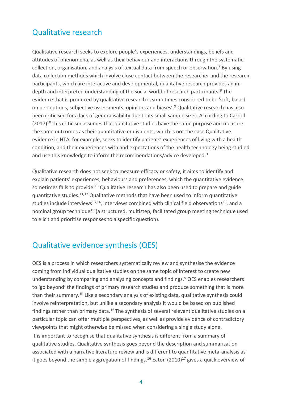### <span id="page-5-0"></span>Qualitative research

Qualitative research seeks to explore people's experiences, understandings, beliefs and attitudes of phenomena, as well as their behaviour and interactions through the systematic collection, organisation, and analysis of textual data from speech or observation.<sup>7</sup> By using data collection methods which involve close contact between the researcher and the research participants, which are interactive and developmental, qualitative research provides an indepth and interpreted understanding of the social world of research participants.<sup>8</sup> The evidence that is produced by qualitative research is sometimes considered to be 'soft, based on perceptions, subjective assessments, opinions and biases'.<sup>9</sup> Qualitative research has also been criticised for a lack of generalisability due to its small sample sizes. According to Carroll  $(2017)^{10}$  this criticism assumes that qualitative studies have the same purpose and measure the same outcomes as their quantitative equivalents, which is not the case Qualitative evidence in HTA, for example, seeks to identify patients' experiences of living with a health condition, and their experiences with and expectations of the health technology being studied and use this knowledge to inform the recommendations/advice developed.<sup>3</sup>

Qualitative research does not seek to measure efficacy or safety, it aims to identify and explain patients' experiences, behaviours and preferences, which the quantitative evidence sometimes fails to provide.<sup>10</sup> Qualitative research has also been used to prepare and guide quantitative studies.11,12 Qualitative methods that have been used to inform quantitative studies include interviews<sup>13,14</sup>, interviews combined with clinical field observations<sup>13</sup>, and a nominal group technique<sup>15</sup> (a structured, multistep, facilitated group meeting technique used to elicit and prioritise responses to a specific question).

### <span id="page-5-1"></span>Qualitative evidence synthesis (QES)

QES is a process in which researchers systematically review and synthesise the evidence coming from individual qualitative studies on the same topic of interest to create new understanding by comparing and analysing concepts and findings.<sup>5</sup> QES enables researchers to 'go beyond' the findings of primary research studies and produce something that is more than their summary.<sup>10</sup> Like a secondary analysis of existing data, qualitative synthesis could involve reinterpretation, but unlike a secondary analysis it would be based on published findings rather than primary data.<sup>16</sup> The synthesis of several relevant qualitative studies on a particular topic can offer multiple perspectives, as well as provide evidence of contradictory viewpoints that might otherwise be missed when considering a single study alone. It is important to recognise that qualitative synthesis is different from a summary of qualitative studies. Qualitative synthesis goes beyond the description and summarisation associated with a narrative literature review and is different to quantitative meta-analysis as it goes beyond the simple aggregation of findings.<sup>16</sup> Eaton (2010)<sup>17</sup> gives a quick overview of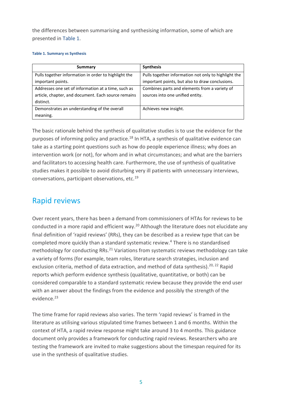the differences between summarising and synthesising information, some of which are presented in Table 1.

#### **Table 1. Summary vs Synthesis**

| Summary                                              | <b>Synthesis</b>                                     |
|------------------------------------------------------|------------------------------------------------------|
| Pulls together information in order to highlight the | Pulls together information not only to highlight the |
| important points.                                    | important points, but also to draw conclusions.      |
| Addresses one set of information at a time, such as  | Combines parts and elements from a variety of        |
| article, chapter, and document. Each source remains  | sources into one unified entity.                     |
| distinct.                                            |                                                      |
| Demonstrates an understanding of the overall         | Achieves new insight.                                |
| meaning.                                             |                                                      |

The basic rationale behind the synthesis of qualitative studies is to use the evidence for the purposes of informing policy and practice.<sup>18</sup> In HTA, a synthesis of qualitative evidence can take as a starting point questions such as how do people experience illness; why does an intervention work (or not), for whom and in what circumstances; and what are the barriers and facilitators to accessing health care. Furthermore, the use of synthesis of qualitative studies makes it possible to avoid disturbing very ill patients with unnecessary interviews, conversations, participant observations, etc.<sup>19</sup>

### Rapid reviews

Over recent years, there has been a demand from commissioners of HTAs for reviews to be conducted in a more rapid and efficient way.<sup>20</sup> Although the literature does not elucidate any final definition of 'rapid reviews' (RRs), they can be described as a review type that can be completed more quickly than a standard systematic review.<sup>4</sup> There is no standardised methodology for conducting RRs. $^{21}$  Variations from systematic reviews methodology can take a variety of forms (for example, team roles, literature search strategies, inclusion and exclusion criteria, method of data extraction, and method of data synthesis).<sup>20, 22</sup> Rapid reports which perform evidence synthesis (qualitative, quantitative, or both) can be considered comparable to a standard systematic review because they provide the end user with an answer about the findings from the evidence and possibly the strength of the evidence.<sup>23</sup>

The time frame for rapid reviews also varies. The term 'rapid reviews' is framed in the literature as utilising various stipulated time frames between 1 and 6 months. Within the context of HTA, a rapid review response might take around 3 to 4 months. This guidance document only provides a framework for conducting rapid reviews. Researchers who are testing the framework are invited to make suggestions about the timespan required for its use in the synthesis of qualitative studies.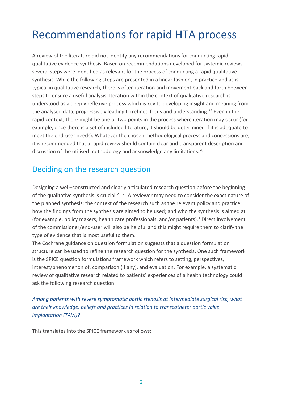## <span id="page-7-0"></span>Recommendations for rapid HTA process

A review of the literature did not identify any recommendations for conducting rapid qualitative evidence synthesis. Based on recommendations developed for systemic reviews, several steps were identified as relevant for the process of conducting a rapid qualitative synthesis. While the following steps are presented in a linear fashion, in practice and as is typical in qualitative research, there is often iteration and movement back and forth between steps to ensure a useful analysis. Iteration within the context of qualitative research is understood as a deeply reflexive process which is key to developing insight and meaning from the analysed data, progressively leading to refined focus and understanding.<sup>24</sup> Even in the rapid context, there might be one or two points in the process where iteration may occur (for example, once there is a set of included literature, it should be determined if it is adequate to meet the end-user needs). Whatever the chosen methodological process and concessions are, it is recommended that a rapid review should contain clear and transparent description and discussion of the utilised methodology and acknowledge any limitations.<sup>20</sup>

### Deciding on the research question

Designing a well–constructed and clearly articulated research question before the beginning of the qualitative synthesis is crucial.<sup>21, 25</sup> A reviewer may need to consider the exact nature of the planned synthesis; the context of the research such as the relevant policy and practice; how the findings from the synthesis are aimed to be used; and who the synthesis is aimed at (for example, policy makers, health care professionals, and/or patients).<sup>1</sup> Direct involvement of the commissioner/end-user will also be helpful and this might require them to clarify the type of evidence that is most useful to them.

The Cochrane guidance on question formulation suggests that a question formulation structure can be used to refine the research question for the synthesis. One such framework is the SPICE question formulations framework which refers to setting, perspectives, interest/phenomenon of, comparison (if any), and evaluation. For example, a systematic review of qualitative research related to patients' experiences of a health technology could ask the following research question:

*Among patients with severe symptomatic aortic stenosis at intermediate surgical risk, what are their knowledge, beliefs and practices in relation to transcatheter aortic valve implantation (TAVI)?*

This translates into the SPICE framework as follows: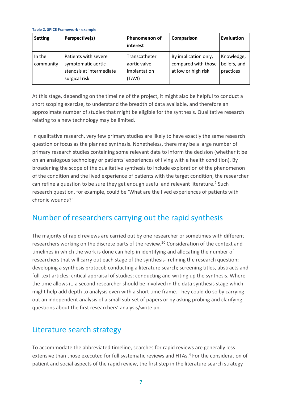|  |  |  | Table 2. SPICE Framework - example |  |  |
|--|--|--|------------------------------------|--|--|
|--|--|--|------------------------------------|--|--|

| <b>Setting</b>      | Perspective(s)                                                                          | <b>Phenomenon of</b><br>interest                        | Comparison                                                         | Evaluation                              |
|---------------------|-----------------------------------------------------------------------------------------|---------------------------------------------------------|--------------------------------------------------------------------|-----------------------------------------|
| In the<br>community | Patients with severe<br>symptomatic aortic<br>stenosis at intermediate<br>surgical risk | Transcatheter<br>aortic valve<br>implantation<br>(TAVI) | By implication only,<br>compared with those<br>at low or high risk | Knowledge,<br>beliefs, and<br>practices |

At this stage, depending on the timeline of the project, it might also be helpful to conduct a short scoping exercise, to understand the breadth of data available, and therefore an approximate number of studies that might be eligible for the synthesis. Qualitative research relating to a new technology may be limited.

In qualitative research, very few primary studies are likely to have exactly the same research question or focus as the planned synthesis. Nonetheless, there may be a large number of primary research studies containing some relevant data to inform the decision (whether it be on an analogous technology or patients' experiences of living with a health condition). By broadening the scope of the qualitative synthesis to include exploration of the phenomenon of the condition and the lived experience of patients with the target condition, the researcher can refine a question to be sure they get enough useful and relevant literature.<sup>2</sup> Such research question, for example, could be 'What are the lived experiences of patients with chronic wounds?'

### <span id="page-8-0"></span>Number of researchers carrying out the rapid synthesis

The majority of rapid reviews are carried out by one researcher or sometimes with different researchers working on the discrete parts of the review.<sup>20</sup> Consideration of the context and timelines in which the work is done can help in identifying and allocating the number of researchers that will carry out each stage of the synthesis- refining the research question; developing a synthesis protocol; conducting a literature search; screening titles, abstracts and full-text articles; critical appraisal of studies; conducting and writing up the synthesis. Where the time allows it, a second researcher should be involved in the data synthesis stage which might help add depth to analysis even with a short time frame. They could do so by carrying out an independent analysis of a small sub-set of papers or by asking probing and clarifying questions about the first researchers' analysis/write up.

### <span id="page-8-1"></span>Literature search strategy

To accommodate the abbreviated timeline, searches for rapid reviews are generally less extensive than those executed for full systematic reviews and HTAs.<sup>4</sup> For the consideration of patient and social aspects of the rapid review, the first step in the literature search strategy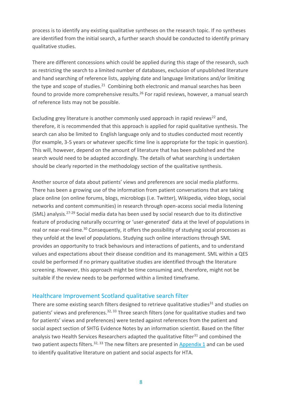process is to identify any existing qualitative syntheses on the research topic. If no syntheses are identified from the initial search, a further search should be conducted to identify primary qualitative studies.

There are different concessions which could be applied during this stage of the research, such as restricting the search to a limited number of databases, exclusion of unpublished literature and hand searching of reference lists, applying date and language limitations and/or limiting the type and scope of studies.<sup>21</sup> Combining both electronic and manual searches has been found to provide more comprehensive results.<sup>26</sup> For rapid reviews, however, a manual search of reference lists may not be possible.

Excluding grey literature is another commonly used approach in rapid reviews<sup>22</sup> and, therefore, it is recommended that this approach is applied for rapid qualitative synthesis. The search can also be limited to English language only and to studies conducted most recently (for example, 3-5 years or whatever specific time line is appropriate for the topic in question). This will, however, depend on the amount of literature that has been published and the search would need to be adapted accordingly. The details of what searching is undertaken should be clearly reported in the methodology section of the qualitative synthesis.

Another source of data about patients' views and preferences are social media platforms. There has been a growing use of the information from patient conversations that are taking place online (on online forums, blogs, microblogs (i.e. Twitter), Wikipedia, video blogs, social networks and content communities) in research through open-access social media listening (SML) analysis.27-29 Social media data has been used by social research due to its distinctive feature of producing naturally occurring or 'user-generated' data at the level of populations in real or near-real-time.<sup>30</sup> Consequently, it offers the possibility of studying social processes as they unfold at the level of populations. Studying such online interactions through SML provides an opportunity to track behaviours and interactions of patients, and to understand values and expectations about their disease condition and its management. SML within a QES could be performed if no primary qualitative studies are identified through the literature screening. However, this approach might be time consuming and, therefore, might not be suitable if the review needs to be performed within a limited timeframe.

#### <span id="page-9-0"></span>Healthcare Improvement Scotland qualitative search filter

There are some existing search filters designed to retrieve qualitative studies<sup>31</sup> and studies on patients' views and preferences.<sup>32, 33</sup> Three search filters (one for qualitative studies and two for patients' views and preferences) were tested against references from the patient and social aspect section of SHTG Evidence Notes by an information scientist. Based on the filter analysis two Health Services Researchers adapted the qualitative filter $31$  and combined the two patient aspects filters.<sup>32, 33</sup> The new filters are presented in [Appendix 1](#page-30-0) and can be used to identify qualitative literature on patient and social aspects for HTA.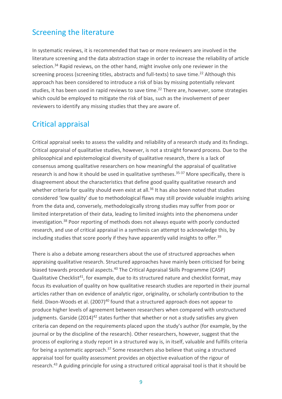### Screening the literature

In systematic reviews, it is recommended that two or more reviewers are involved in the literature screening and the data abstraction stage in order to increase the reliability of article selection.<sup>34</sup> Rapid reviews, on the other hand, might involve only one reviewer in the screening process (screening titles, abstracts and full-texts) to save time.<sup>22</sup> Although this approach has been considered to introduce a risk of bias by missing potentially relevant studies, it has been used in rapid reviews to save time.<sup>22</sup> There are, however, some strategies which could be employed to mitigate the risk of bias, such as the involvement of peer reviewers to identify any missing studies that they are aware of.

### Critical appraisal

Critical appraisal seeks to assess the validity and reliability of a research study and its findings. Critical appraisal of qualitative studies, however, is not a straight forward process. Due to the philosophical and epistemological diversity of qualitative research, there is a lack of consensus among qualitative researchers on how meaningful the appraisal of qualitative research is and how it should be used in qualitative syntheses.<sup>35-37</sup> More specifically, there is disagreement about the characteristics that define good quality qualitative research and whether criteria for quality should even exist at all.<sup>36</sup> It has also been noted that studies considered 'low quality' due to methodological flaws may still provide valuable insights arising from the data and, conversely, methodologically strong studies may suffer from poor or limited interpretation of their data, leading to limited insights into the phenomena under investigation.<sup>38</sup> Poor reporting of methods does not always equate with poorly conducted research, and use of critical appraisal in a synthesis can attempt to acknowledge this, by including studies that score poorly if they have apparently valid insights to offer.<sup>39</sup>

There is also a debate among researchers about the use of structured approaches when appraising qualitative research. Structured approaches have mainly been criticised for being biased towards procedural aspects.<sup>40</sup> The Critical Appraisal Skills Programme (CASP) Qualitative Checklist<sup>41</sup>, for example, due to its structured nature and checklist format, may focus its evaluation of quality on how qualitative research studies are reported in their journal articles rather than on evidence of analytic rigor, originality, or scholarly contribution to the field. Dixon-Woods et al.  $(2007)^{40}$  found that a structured approach does not appear to produce higher levels of agreement between researchers when compared with unstructured judgments. Garside  $(2014)^{42}$  states further that whether or not a study satisfies any given criteria can depend on the requirements placed upon the study's author (for example, by the journal or by the discipline of the research). Other researchers, however, suggest that the process of exploring a study report in a structured way is, in itself, valuable and fulfills criteria for being a systematic approach.<sup>37</sup> Some researchers also believe that using a structured appraisal tool for quality assessment provides an objective evaluation of the rigour of research.<sup>43</sup> A guiding principle for using a structured critical appraisal tool is that it should be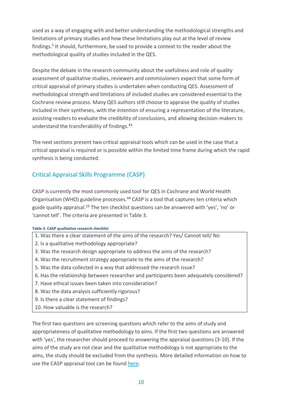used as a way of engaging with and better understanding the methodological strengths and limitations of primary studies and how these limitations play out at the level of review findings.<sup>5</sup> It should, furthermore, be used to provide a context to the reader about the methodological quality of studies included in the QES.

Despite the debate in the research community about the usefulness and role of quality assessment of qualitative studies, reviewers and commissioners expect that some form of critical appraisal of primary studies is undertaken when conducting QES. Assessment of methodological strength and limitations of included studies are considered essential to the Cochrane review process. Many QES authors still choose to appraise the quality of studies included in their syntheses, with the intention of ensuring a representation of the literature, assisting readers to evaluate the credibility of conclusions, and allowing decision-makers to understand the transferability of findings.<sup>43</sup>

The next sections present two critical appraisal tools which can be used in the case that a critical appraisal is required or is possible within the limited time frame during which the rapid synthesis is being conducted.

### <span id="page-11-0"></span>Critical Appraisal Skills Programme (CASP)

CASP is currently the most commonly used tool for QES in Cochrane and World Health Organisation (WHO) guideline processes.<sup>44</sup> CASP is a tool that captures ten criteria which guide quality appraisal.<sup>16</sup> The ten checklist questions can be answered with 'yes', 'no' or 'cannot tell'. The criteria are presented in Table 3.

#### **Table 3. CASP qualitative research checklist**

- 1. Was there a clear statement of the aims of the research? Yes/ Cannot tell/ No
- 2. Is a qualitative methodology appropriate?
- 3. Was the research design appropriate to address the aims of the research?
- 4. Was the recruitment strategy appropriate to the aims of the research?
- 5. Was the data collected in a way that addressed the research issue?
- 6. Has the relationship between researcher and participants been adequately considered?
- 7. Have ethical issues been taken into consideration?
- 8. Was the data analysis sufficiently rigorous?
- 9. Is there a clear statement of findings?
- 10. How valuable is the research?

The first two questions are screening questions which refer to the aims of study and appropriateness of qualitative methodology to aims. If the first two questions are answered with 'yes', the researcher should proceed to answering the appraisal questions (3-10). If the aims of the study are not clear and the qualitative methodology is not appropriate to the aims, the study should be excluded from the synthesis. More detailed information on how to use the CASP appraisal tool can be found [here.](https://casp-uk.net/wp-content/uploads/2018/03/CASP-Qualitative-Checklist-2018_fillable_form.pdf)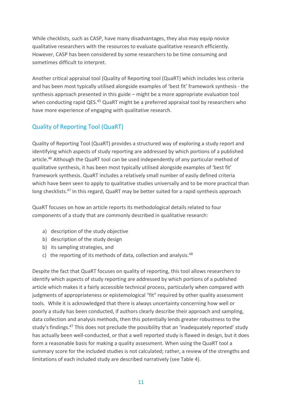While checklists, such as CASP, have many disadvantages, they also may equip novice qualitative researchers with the resources to evaluate qualitative research efficiently. However, CASP has been considered by some researchers to be time consuming and sometimes difficult to interpret.

Another critical appraisal tool (Quality of Reporting tool (QuaRT) which includes less criteria and has been most typically utilised alongside examples of 'best fit' framework synthesis - the synthesis approach presented in this guide – might be a more appropriate evaluation tool when conducting rapid QES.<sup>45</sup> QuaRT might be a preferred appraisal tool by researchers who have more experience of engaging with qualitative research.

### <span id="page-12-0"></span>Quality of Reporting Tool (QuaRT)

Quality of Reporting Tool (QuaRT) provides a structured way of exploring a study report and identifying which aspects of study reporting are addressed by which portions of a published article.<sup>46</sup> Although the QuaRT tool can be used independently of any particular method of qualitative synthesis, it has been most typically utilised alongside examples of 'best fit' framework synthesis. QuaRT includes a relatively small number of easily defined criteria which have been seen to apply to qualitative studies universally and to be more practical than long checklists.<sup>47</sup> In this regard, QuaRT may be better suited for a rapid synthesis approach

QuaRT focuses on how an article reports its methodological details related to four components of a study that are commonly described in qualitative research:

- a) description of the study objective
- b) description of the study design
- b) its sampling strategies, and
- c) the reporting of its methods of data, collection and analysis. $48$

Despite the fact that QuaRT focuses on quality of reporting, this tool allows researchers to identify which aspects of study reporting are addressed by which portions of a published article which makes it a fairly accessible technical process, particularly when compared with judgments of appropriateness or epistemological "fit" required by other quality assessment tools. While it is acknowledged that there is always uncertainty concerning how well or poorly a study has been conducted, if authors clearly describe their approach and sampling, data collection and analysis methods, then this potentially lends greater robustness to the study's findings.<sup>47</sup> This does not preclude the possibility that an 'inadequately reported' study has actually been well-conducted, or that a well reported study is flawed in design, but it does form a reasonable basis for making a quality assessment. When using the QuaRT tool a summary score for the included studies is not calculated; rather, a review of the strengths and limitations of each included study are described narratively (see Table 4).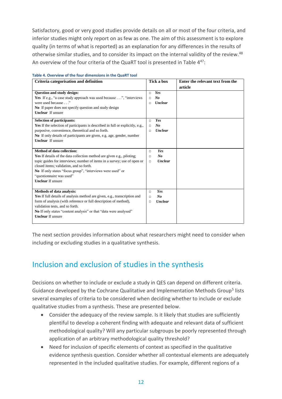Satisfactory, good or very good studies provide details on all or most of the four criteria, and inferior studies might only report on as few as one. The aim of this assessment is to explore quality (in terms of what is reported) as an explanation for any differences in the results of otherwise similar studies, and to consider its impact on the internal validity of the review.<sup>48</sup> An overview of the four criteria of the QuaRT tool is presented in Table 4<sup>47</sup>:

| Criteria categorisation and definition                                         | Tick a box               | Enter the relevant text from the |
|--------------------------------------------------------------------------------|--------------------------|----------------------------------|
|                                                                                |                          | article                          |
| <b>Question and study design:</b>                                              | Yes<br>$\Box$            |                                  |
| <b>Yes</b> If e.g., "a case study approach was used because", "interviews"     | N <sub>o</sub><br>П      |                                  |
| were used because"                                                             | <b>Unclear</b><br>п      |                                  |
| No If paper does not specify question and study design                         |                          |                                  |
| <b>Unclear</b> If unsure                                                       |                          |                                  |
| <b>Selection of participants:</b>                                              | Yes<br>п                 |                                  |
| Yes If the selection of participants is described in full or explicitly, e.g., | N <sub>o</sub><br>п      |                                  |
| purposive, convenience, theoretical and so forth.                              | <b>Unclear</b><br>п      |                                  |
| No If only details of participants are given, e.g. age, gender, number         |                          |                                  |
| <b>Unclear</b> If unsure                                                       |                          |                                  |
|                                                                                |                          |                                  |
| Method of data collection:                                                     | Yes<br>$\Box$            |                                  |
| Yes If details of the data collection method are given e.g., piloting;         | $N_{0}$<br>$\Box$        |                                  |
| topic guides for interviews; number of items in a survey; use of open or       | <b>Unclear</b><br>$\Box$ |                                  |
| closed items; validation, and so forth.                                        |                          |                                  |
| No If only states "focus group", "interviews were used" or                     |                          |                                  |
| "questionnaire was used"                                                       |                          |                                  |
| <b>Unclear</b> If unsure                                                       |                          |                                  |
|                                                                                |                          |                                  |
| Methods of data analysis:                                                      | Yes<br>$\Box$            |                                  |
| Yes If full details of analysis method are given, e.g., transcription and      | No<br>п                  |                                  |
| form of analysis (with reference or full description of method),               | <b>Unclear</b><br>п      |                                  |
| validation tests, and so forth.                                                |                          |                                  |
| No If only states "content analysis" or that "data were analysed"              |                          |                                  |
| <b>Unclear</b> If unsure                                                       |                          |                                  |
|                                                                                |                          |                                  |

#### **Table 4. Overview of the four dimensions in the QuaRT tool**

The next section provides information about what researchers might need to consider when including or excluding studies in a qualitative synthesis.

### <span id="page-13-0"></span>Inclusion and exclusion of studies in the synthesis

Decisions on whether to include or exclude a study in QES can depend on different criteria. Guidance developed by the Cochrane Qualitative and Implementation Methods Group<sup>5</sup> lists several examples of criteria to be considered when deciding whether to include or exclude qualitative studies from a synthesis. These are presented below.

- Consider the adequacy of the review sample. Is it likely that studies are sufficiently plentiful to develop a coherent finding with adequate and relevant data of sufficient methodological quality? Will any particular subgroups be poorly represented through application of an arbitrary methodological quality threshold?
- Need for inclusion of specific elements of context as specified in the qualitative evidence synthesis question. Consider whether all contextual elements are adequately represented in the included qualitative studies. For example, different regions of a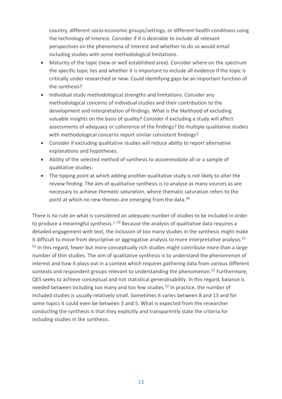country, different socio-economic groups/settings, or different health conditions using the technology of interest. Consider if it is desirable to include all relevant perspectives on the phenomena of interest and whether to do so would entail including studies with some methodological limitations.

- Maturity of the topic (new or well established area). Consider where on the spectrum the specific topic lies and whether it is important to include all evidence if the topic is critically under researched or new. Could identifying gaps be an important function of the synthesis?
- Individual study methodological strengths and limitations. Consider any methodological concerns of individual studies and their contribution to the development and interpretation of findings. What is the likelihood of excluding valuable insights on the basis of quality? Consider if excluding a study will affect assessments of adequacy or coherence of the findings? Do multiple qualitative studies with methodological concerns report similar consistent findings?
- Consider if excluding qualitative studies will reduce ability to report alternative explanations and hypotheses.
- Ability of the selected method of synthesis to accommodate all or a sample of qualitative studies.
- The tipping point at which adding another qualitative study is not likely to alter the review finding. The aim of qualitative synthesis is to analyse as many sources as are necessary to achieve *thematic saturation*, where thematic saturation refers to the point at which no new themes are emerging from the data.<sup>49</sup>

There is no rule on what is considered an adequate number of studies to be included in order to produce a meaningful synthesis.<sup>1, 50</sup> Because the analysis of qualitative data requires a detailed engagement with text, the inclusion of too many studies in the synthesis might make it difficult to move from descriptive or aggregative analysis to more interpretative analysis.<sup>51,</sup>  $52$  In this regard, fewer but more conceptually rich studies might contribute more than a large number of thin studies. The aim of qualitative synthesis is to understand the phenomenon of interest and how it plays out in a context which requires gathering data from various different contexts and respondent groups relevant to understanding the phenomenon.<sup>51</sup> Furthermore, QES seeks to achieve conceptual and not statistical generalisability. In this regard, balance is needed between including too many and too few studies.<sup>52</sup> In practice, the number of included studies is usually relatively small. Sometimes it varies between 8 and 13 and for some topics it could even be between 3 and 5. What is expected from the researcher conducting the synthesis is that they explicitly and transparently state the criteria for including studies in the synthesis.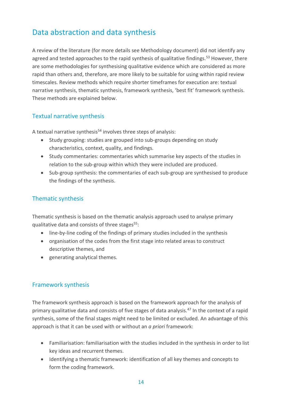### Data abstraction and data synthesis

A review of the literature (for more details see Methodology document) did not identify any agreed and tested approaches to the rapid synthesis of qualitative findings.<sup>53</sup> However, there are some methodologies for synthesising qualitative evidence which are considered as more rapid than others and, therefore, are more likely to be suitable for using within rapid review timescales. Review methods which require shorter timeframes for execution are: textual narrative synthesis, thematic synthesis, framework synthesis, 'best fit' framework synthesis. These methods are explained below.

### <span id="page-15-0"></span>Textual narrative synthesis

A textual narrative synthesis<sup>54</sup> involves three steps of analysis:

- Study grouping: studies are grouped into sub-groups depending on study characteristics, context, quality, and findings.
- Study commentaries: commentaries which summarise key aspects of the studies in relation to the sub-group within which they were included are produced.
- Sub-group synthesis: the commentaries of each sub-group are synthesised to produce the findings of the synthesis.

### Thematic synthesis

Thematic synthesis is based on the thematic analysis approach used to analyse primary qualitative data and consists of three stages $55$ :

- line-by-line coding of the findings of primary studies included in the synthesis
- organisation of the codes from the first stage into related areas to construct descriptive themes, and
- generating analytical themes.

### Framework synthesis

The framework synthesis approach is based on the framework approach for the analysis of primary qualitative data and consists of five stages of data analysis.<sup>47</sup> In the context of a rapid synthesis, some of the final stages might need to be limited or excluded. An advantage of this approach is that it can be used with or without an *a priori* framework:

- Familiarisation: familiarisation with the studies included in the synthesis in order to list key ideas and recurrent themes.
- Identifying a thematic framework: identification of all key themes and concepts to form the coding framework.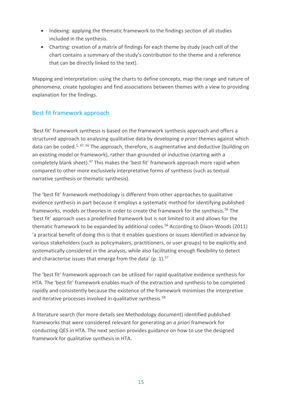- Indexing: applying the thematic framework to the findings section of all studies included in the synthesis.
- Charting: creation of a matrix of findings for each theme by study (each cell of the chart contains a summary of the study's contribution to the theme and a reference that can be directly linked to the text).

Mapping and interpretation: using the charts to define concepts, map the range and nature of phenomena, create typologies and find associations between themes with a view to providing explanation for the findings.

### Best fit framework approach

'Best fit' framework synthesis is based on the framework synthesis approach and offers a structured approach to analysing qualitative data by developing *a priori* themes against which data can be coded.<sup>1, 47, 56</sup> The approach, therefore, is augmentative and deductive (building on an existing model or framework), rather than grounded or inductive (starting with a completely blank sheet).<sup>47</sup> This makes the 'best fit' framework approach more rapid when compared to other more exclusively interpretative forms of synthesis (such as textual narrative synthesis or thematic synthesis).

The 'best fit' framework methodology is different from other approaches to qualitative evidence synthesis in part because it employs a systematic method for identifying published frameworks, models or theories in order to create the framework for the synthesis.<sup>56</sup> The 'best fit' approach uses a predefined framework but is not limited to it and allows for the thematic framework to be expanded by additional codes.<sup>56</sup> According to Dixon-Woods (2011) 'a practical benefit of doing this is that it enables questions or issues identified in advance by various stakeholders (such as policymakers, practitioners, or user groups) to be explicitly and systematically considered in the analysis, while also facilitating enough flexibility to detect and characterise issues that emerge from the data' (p. 1).<sup>57</sup>

The 'best fit' framework approach can be utilised for rapid qualitative evidence synthesis for HTA. The 'best fit' framework enables much of the extraction and synthesis to be completed rapidly and consistently because the existence of the framework minimises the interpretive and iterative processes involved in qualitative synthesis.<sup>58</sup>

A literature search (for more details see Methodology document) identified published frameworks that were considered relevant for generating an *a priori* framework for conducting QES in HTA. The next section provides guidance on how to use the designed framework for qualitative synthesis in HTA.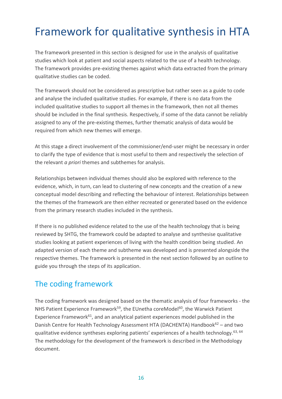## <span id="page-17-0"></span>Framework for qualitative synthesis in HTA

The framework presented in this section is designed for use in the analysis of qualitative studies which look at patient and social aspects related to the use of a health technology. The framework provides pre-existing themes against which data extracted from the primary qualitative studies can be coded.

The framework should not be considered as prescriptive but rather seen as a guide to code and analyse the included qualitative studies. For example, if there is no data from the included qualitative studies to support all themes in the framework, then not all themes should be included in the final synthesis. Respectively, if some of the data cannot be reliably assigned to any of the pre-existing themes, further thematic analysis of data would be required from which new themes will emerge.

At this stage a direct involvement of the commissioner/end-user might be necessary in order to clarify the type of evidence that is most useful to them and respectively the selection of the relevant *a priori* themes and subthemes for analysis.

Relationships between individual themes should also be explored with reference to the evidence, which, in turn, can lead to clustering of new concepts and the creation of a new conceptual model describing and reflecting the behaviour of interest. Relationships between the themes of the framework are then either recreated or generated based on the evidence from the primary research studies included in the synthesis.

If there is no published evidence related to the use of the health technology that is being reviewed by SHTG, the framework could be adapted to analyse and synthesise qualitative studies looking at patient experiences of living with the health condition being studied. An adapted version of each theme and subtheme was developed and is presented alongside the respective themes. The framework is presented in the next section followed by an outline to guide you through the steps of its application.

### <span id="page-17-1"></span>The coding framework

The coding framework was designed based on the thematic analysis of four frameworks - the NHS Patient Experience Framework<sup>59</sup>, the EUnetha coreModel<sup>60</sup>, the Warwick Patient Experience Framework $61$ , and an analytical patient experiences model published in the Danish Centre for Health Technology Assessment HTA (DACHENTA) Handbook<sup>62</sup> – and two qualitative evidence syntheses exploring patients' experiences of a health technology.  $63, 64$ The methodology for the development of the framework is described in the Methodology document.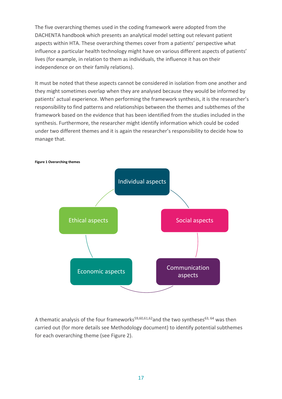The five overarching themes used in the coding framework were adopted from the DACHENTA handbook which presents an analytical model setting out relevant patient aspects within HTA. These overarching themes cover from a patients' perspective what influence a particular health technology might have on various different aspects of patients' lives (for example, in relation to them as individuals, the influence it has on their independence or on their family relations).

It must be noted that these aspects cannot be considered in isolation from one another and they might sometimes overlap when they are analysed because they would be informed by patients' actual experience. When performing the framework synthesis, it is the researcher's responsibility to find patterns and relationships between the themes and subthemes of the framework based on the evidence that has been identified from the studies included in the synthesis. Furthermore, the researcher might identify information which could be coded under two different themes and it is again the researcher's responsibility to decide how to manage that.



A thematic analysis of the four frameworks<sup>59,60,61,62</sup> and the two syntheses<sup>63, 64</sup> was then carried out (for more details see Methodology document) to identify potential subthemes for each overarching theme (see Figure 2).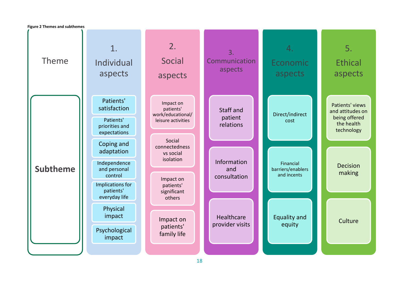Theme **Subtheme** 1. Individual aspects Patients' satisfaction Patients' priorities and expectations Coping and adaptation Independence and personal control Implications for patients' everyday life Physical impact Psychological impact 2. Social aspects Impact on patients' work/educational/ leisure activities Social connectedness vs social isolation Impact on patients' significant others Impact on patients' family life 3. Communication aspects Staff and patient relations Information and consultation Healthcare provider visits 4. Economic aspects Direct/indirect cost Financial barriers/enablers and incents Equality and equity 5. **Ethical** aspects Patients' views and attitudes on being offered the health technology Decision making **Culture Figure 2 Themes and subthemes**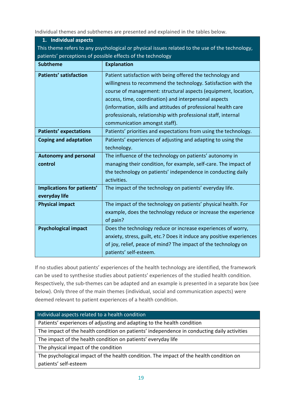Individual themes and subthemes are presented and explained in the tables below.

<span id="page-20-0"></span>

| 1. Individual aspects                                                                           |  |  |  |  |  |
|-------------------------------------------------------------------------------------------------|--|--|--|--|--|
| This theme refers to any psychological or physical issues related to the use of the technology, |  |  |  |  |  |
| patients' perceptions of possible effects of the technology                                     |  |  |  |  |  |
| <b>Explanation</b>                                                                              |  |  |  |  |  |
| Patient satisfaction with being offered the technology and                                      |  |  |  |  |  |
| willingness to recommend the technology. Satisfaction with the                                  |  |  |  |  |  |
| course of management: structural aspects (equipment, location,                                  |  |  |  |  |  |
| access, time, coordination) and interpersonal aspects                                           |  |  |  |  |  |
| (information, skills and attitudes of professional health care                                  |  |  |  |  |  |
| professionals, relationship with professional staff, internal                                   |  |  |  |  |  |
| communication amongst staff).                                                                   |  |  |  |  |  |
| Patients' priorities and expectations from using the technology.                                |  |  |  |  |  |
| Patients' experiences of adjusting and adapting to using the                                    |  |  |  |  |  |
| technology.                                                                                     |  |  |  |  |  |
| The influence of the technology on patients' autonomy in                                        |  |  |  |  |  |
| managing their condition, for example, self-care. The impact of                                 |  |  |  |  |  |
| the technology on patients' independence in conducting daily                                    |  |  |  |  |  |
| activities.                                                                                     |  |  |  |  |  |
| The impact of the technology on patients' everyday life.                                        |  |  |  |  |  |
|                                                                                                 |  |  |  |  |  |
| The impact of the technology on patients' physical health. For                                  |  |  |  |  |  |
| example, does the technology reduce or increase the experience                                  |  |  |  |  |  |
| of pain?                                                                                        |  |  |  |  |  |
| Does the technology reduce or increase experiences of worry,                                    |  |  |  |  |  |
| anxiety, stress, guilt, etc.? Does it induce any positive experiences                           |  |  |  |  |  |
| of joy, relief, peace of mind? The impact of the technology on                                  |  |  |  |  |  |
| patients' self-esteem.                                                                          |  |  |  |  |  |
|                                                                                                 |  |  |  |  |  |

If no studies about patients' experiences of the health technology are identified, the framework can be used to synthesise studies about patients' experiences of the studied health condition. Respectively, the sub-themes can be adapted and an example is presented in a separate box (see below). Only three of the main themes (individual, social and communication aspects) were deemed relevant to patient experiences of a health condition.

Individual aspects related to a health condition

Patients' experiences of adjusting and adapting to the health condition

The impact of the health condition on patients' independence in conducting daily activities

The impact of the health condition on patients' everyday life

The physical impact of the condition

The psychological impact of the health condition. The impact of the health condition on patients' self-esteem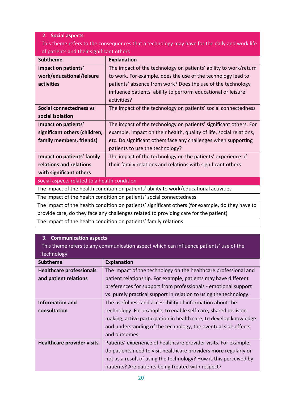#### <span id="page-21-0"></span>**2. Social aspects**

This theme refers to the consequences that a technology may have for the daily and work life of patients and their significant others

| <b>Subtheme</b>                                                                        | <b>Explanation</b>                                                  |  |  |
|----------------------------------------------------------------------------------------|---------------------------------------------------------------------|--|--|
| Impact on patients'                                                                    | The impact of the technology on patients' ability to work/return    |  |  |
| work/educational/leisure                                                               | to work. For example, does the use of the technology lead to        |  |  |
| activities                                                                             | patients' absence from work? Does the use of the technology         |  |  |
|                                                                                        | influence patients' ability to perform educational or leisure       |  |  |
|                                                                                        | activities?                                                         |  |  |
| Social connectedness vs                                                                | The impact of the technology on patients' social connectedness      |  |  |
| social isolation                                                                       |                                                                     |  |  |
| Impact on patients'                                                                    | The impact of the technology on patients' significant others. For   |  |  |
| significant others (children,                                                          | example, impact on their health, quality of life, social relations, |  |  |
| family members, friends)                                                               | etc. Do significant others face any challenges when supporting      |  |  |
|                                                                                        | patients to use the technology?                                     |  |  |
| Impact on patients' family                                                             | The impact of the technology on the patients' experience of         |  |  |
| relations and relations                                                                | their family relations and relations with significant others        |  |  |
| with significant others                                                                |                                                                     |  |  |
| Social aspects related to a health condition                                           |                                                                     |  |  |
| The impact of the health condition on patients' ability to work/educational activities |                                                                     |  |  |

The impact of the health condition on patients' social connectedness

The impact of the health condition on patients' significant others (for example, do they have to provide care, do they face any challenges related to providing care for the patient)

The impact of the health condition on patients' family relations

#### <span id="page-21-1"></span>**3. Communication aspects**

This theme refers to any communication aspect which can influence patients' use of the technology

| <b>Subtheme</b>                   | <b>Explanation</b>                                                |
|-----------------------------------|-------------------------------------------------------------------|
| <b>Healthcare professionals</b>   | The impact of the technology on the healthcare professional and   |
| and patient relations             | patient relationship. For example, patients may have different    |
|                                   | preferences for support from professionals - emotional support    |
|                                   | vs. purely practical support in relation to using the technology. |
| Information and                   | The usefulness and accessibility of information about the         |
| consultation                      | technology. For example, to enable self-care, shared decision-    |
|                                   | making, active participation in health care, to develop knowledge |
|                                   | and understanding of the technology, the eventual side effects    |
|                                   | and outcomes.                                                     |
| <b>Healthcare provider visits</b> | Patients' experience of healthcare provider visits. For example,  |
|                                   | do patients need to visit healthcare providers more regularly or  |
|                                   | not as a result of using the technology? How is this perceived by |
|                                   | patients? Are patients being treated with respect?                |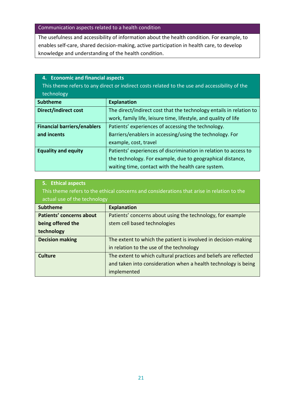#### Communication aspects related to a health condition

The usefulness and accessibility of information about the health condition. For example, to enables self-care, shared decision-making, active participation in health care, to develop knowledge and understanding of the health condition.

#### <span id="page-22-0"></span>**4. Economic and financial aspects**

This theme refers to any direct or indirect costs related to the use and accessibility of the technology

| <b>Subtheme</b>                    | <b>Explanation</b>                                                  |
|------------------------------------|---------------------------------------------------------------------|
| <b>Direct/indirect cost</b>        | The direct/indirect cost that the technology entails in relation to |
|                                    | work, family life, leisure time, lifestyle, and quality of life     |
| <b>Financial barriers/enablers</b> | Patients' experiences of accessing the technology.                  |
| and incents                        | Barriers/enablers in accessing/using the technology. For            |
|                                    | example, cost, travel                                               |
| <b>Equality and equity</b>         | Patients' experiences of discrimination in relation to access to    |
|                                    | the technology. For example, due to geographical distance,          |
|                                    | waiting time, contact with the health care system.                  |

| 5. Ethical aspects<br>This theme refers to the ethical concerns and considerations that arise in relation to the<br>actual use of the technology |                                                                  |  |  |  |
|--------------------------------------------------------------------------------------------------------------------------------------------------|------------------------------------------------------------------|--|--|--|
| <b>Subtheme</b>                                                                                                                                  | <b>Explanation</b>                                               |  |  |  |
| <b>Patients' concerns about</b>                                                                                                                  | Patients' concerns about using the technology, for example       |  |  |  |
| being offered the                                                                                                                                | stem cell based technologies                                     |  |  |  |
| technology                                                                                                                                       |                                                                  |  |  |  |
| <b>Decision making</b>                                                                                                                           | The extent to which the patient is involved in decision-making   |  |  |  |
|                                                                                                                                                  | in relation to the use of the technology                         |  |  |  |
| <b>Culture</b>                                                                                                                                   | The extent to which cultural practices and beliefs are reflected |  |  |  |
|                                                                                                                                                  | and taken into consideration when a health technology is being   |  |  |  |
|                                                                                                                                                  | implemented                                                      |  |  |  |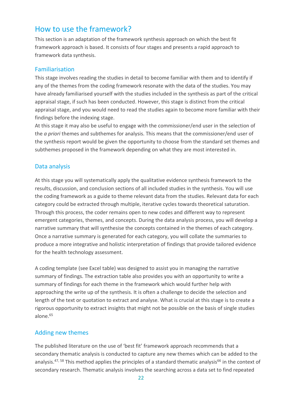### <span id="page-23-0"></span>How to use the framework?

This section is an adaptation of the framework synthesis approach on which the best fit framework approach is based. It consists of four stages and presents a rapid approach to framework data synthesis.

### <span id="page-23-1"></span>Familiarisation

This stage involves reading the studies in detail to become familiar with them and to identify if any of the themes from the coding framework resonate with the data of the studies. You may have already familiarised yourself with the studies included in the synthesis as part of the critical appraisal stage, if such has been conducted. However, this stage is distinct from the critical appraisal stage, and you would need to read the studies again to become more familiar with their findings before the indexing stage.

At this stage it may also be useful to engage with the commissioner/end user in the selection of the *a priori* themes and subthemes for analysis. This means that the commissioner/end user of the synthesis report would be given the opportunity to choose from the standard set themes and subthemes proposed in the framework depending on what they are most interested in.

#### <span id="page-23-2"></span>Data analysis

At this stage you will systematically apply the qualitative evidence synthesis framework to the results, discussion, and conclusion sections of all included studies in the synthesis. You will use the coding framework as a guide to theme relevant data from the studies. Relevant data for each category could be extracted through multiple, iterative cycles towards theoretical saturation. Through this process, the coder remains open to new codes and different way to represent emergent categories, themes, and concepts. During the data analysis process, you will develop a narrative summary that will synthesise the concepts contained in the themes of each category. Once a narrative summary is generated for each category, you will collate the summaries to produce a more integrative and holistic interpretation of findings that provide tailored evidence for the health technology assessment.

A coding template (see Excel table) was designed to assist you in managing the narrative summary of findings. The extraction table also provides you with an opportunity to write a summary of findings for each theme in the framework which would further help with approaching the write up of the synthesis. It is often a challenge to decide the selection and length of the text or quotation to extract and analyse. What is crucial at this stage is to create a rigorous opportunity to extract insights that might not be possible on the basis of single studies alone.<sup>65</sup>

### <span id="page-23-3"></span>Adding new themes

The published literature on the use of 'best fit' framework approach recommends that a secondary thematic analysis is conducted to capture any new themes which can be added to the analysis.<sup>47, 58</sup> This method applies the principles of a standard thematic analysis<sup>66</sup> in the context of secondary research. Thematic analysis involves the searching across a data set to find repeated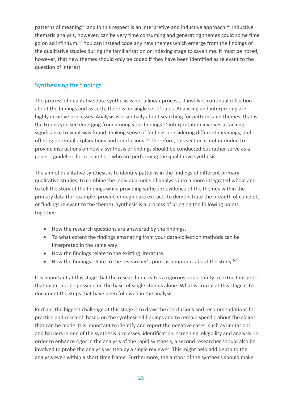patterns of meaning<sup>66</sup> and in this respect is an interpretive and inductive approach.<sup>47</sup> Inductive thematic analysis, however, can be very time consuming and generating themes could some time go on ad infinitum.<sup>66</sup> You can instead code any new themes which emerge from the findings of the qualitative studies during the familiarisation or indexing stage to save time. It must be noted, however, that new themes should only be coded if they have been identified as relevant to the question of interest.

### <span id="page-24-0"></span>Synthesising the findings

The process of qualitative data synthesis is not a linear process, it involves continual reflection about the findings and as such, there is no single set of rules. Analysing and interpreting are highly intuitive processes. Analysis is essentially about searching for patterns and themes, that is the trends you see emerging from among your findings.<sup>67</sup> Interpretation involves attaching significance to what was found, making sense of findings, considering different meanings, and offering potential explanations and conclusions.<sup>67</sup> Therefore, this section is not intended to provide instructions on how a synthesis of findings should be conducted but rather serve as a generic guideline for researchers who are performing the qualitative synthesis.

The aim of qualitative synthesis is to identify patterns in the findings of different primary qualitative studies, to combine the individual units of analysis into a more integrated whole and to tell the story of the findings while providing sufficient evidence of the themes within the primary data (for example, provide enough data extracts to demonstrate the breadth of concepts or findings relevant to the theme). Synthesis is a process of bringing the following points together:

- How the research questions are answered by the findings.
- To what extent the findings emanating from your data-collection methods can be interpreted in the same way.
- How the findings relate to the existing literature.
- How the findings relate to the researcher's prior assumptions about the study.<sup>67</sup>

It is important at this stage that the researcher creates a rigorous opportunity to extract insights that might not be possible on the basis of single studies alone. What is crucial at this stage is to document the steps that have been followed in the analysis.

Perhaps the biggest challenge at this stage is to draw the conclusions and recommendations for practice and research based on the synthesised findings and to remain specific about the claims that can be made. It is important to identify and report the negative cases, such as limitations and barriers in one of the synthesis processes: identification, screening, eligibility and analysis. In order to enhance rigor in the analysis of the rapid synthesis, a second researcher should also be involved to probe the analysis written by a single reviewer. This might help add depth to the analysis even within a short time frame. Furthermore, the author of the synthesis should make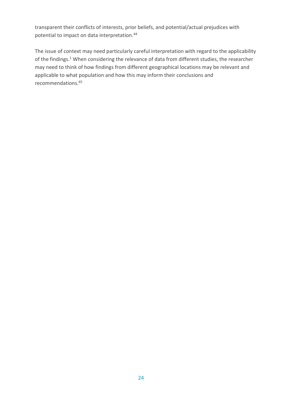transparent their conflicts of interests, prior beliefs, and potential/actual prejudices with potential to impact on data interpretation.<sup>44</sup>

The issue of context may need particularly careful interpretation with regard to the applicability of the findings.<sup>1</sup> When considering the relevance of data from different studies, the researcher may need to think of how findings from different geographical locations may be relevant and applicable to what population and how this may inform their conclusions and recommendations.<sup>65</sup>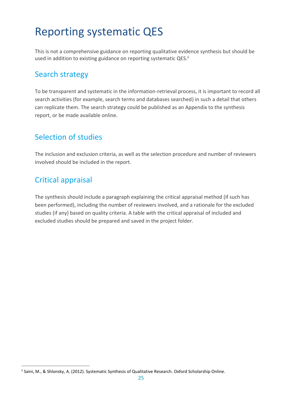## <span id="page-26-0"></span>Reporting systematic QES

This is not a comprehensive guidance on reporting qualitative evidence synthesis but should be used in addition to existing guidance on reporting systematic QES.<sup>ii</sup>

### <span id="page-26-1"></span>Search strategy

To be transparent and systematic in the information-retrieval process, it is important to record all search activities (for example, search terms and databases searched) in such a detail that others can replicate them. The search strategy could be published as an Appendix to the synthesis report, or be made available online.

### <span id="page-26-2"></span>Selection of studies

The inclusion and exclusion criteria, as well as the selection procedure and number of reviewers involved should be included in the report.

### <span id="page-26-3"></span>Critical appraisal

.

The synthesis should include a paragraph explaining the critical appraisal method (if such has been performed), including the number of reviewers involved, and a rationale for the excluded studies (if any) based on quality criteria. A table with the critical appraisal of included and excluded studies should be prepared and saved in the project folder.

ii Saini, M., & Shlonsky, A. (2012). Systematic Synthesis of Qualitative Research. Oxford Scholarship Online.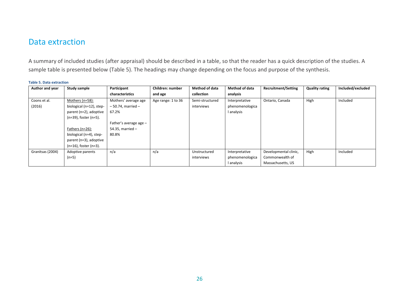### Data extraction

A summary of included studies (after appraisal) should be described in a table, so that the reader has a quick description of the studies. A sample table is presented below (Table 5). The headings may change depending on the focus and purpose of the synthesis.

#### **Table 5. Data extraction**

<span id="page-27-0"></span>

| Author and year  | <b>Study sample</b>         | Participant            | Children: number   | <b>Method of data</b> | <b>Method of data</b> | <b>Recruitment/Setting</b> | <b>Quality rating</b> | Included/excluded |
|------------------|-----------------------------|------------------------|--------------------|-----------------------|-----------------------|----------------------------|-----------------------|-------------------|
|                  |                             | characteristics        | and age            | collection            | analysis              |                            |                       |                   |
| Coons et al.     | Mothers ( $n=58$ ):         | Mothers' average age   | Age range: 1 to 36 | Semi-structured       | Interpretative        | Ontario, Canada            | High                  | Included          |
| (2016)           | biological (n=12), step-    | $-50.74$ . married $-$ |                    | interviews            | phenomenologica       |                            |                       |                   |
|                  | parent (n=2), adoptive      | 67.2%                  |                    |                       | l analysis            |                            |                       |                   |
|                  | (n=39), foster (n=5).       |                        |                    |                       |                       |                            |                       |                   |
|                  |                             | Father's average age - |                    |                       |                       |                            |                       |                   |
|                  | Fathers $(n=26)$ :          | 54.35, married $-$     |                    |                       |                       |                            |                       |                   |
|                  | biological (n=4), step-     | 80.8%                  |                    |                       |                       |                            |                       |                   |
|                  | parent (n=3), adoptive      |                        |                    |                       |                       |                            |                       |                   |
|                  | $(n=16)$ , foster $(n=3)$ . |                        |                    |                       |                       |                            |                       |                   |
| Granitsas (2004) | Adoptive parents            | n/a                    | n/a                | Unstructured          | Interpretative        | Developmental clinic,      | High                  | Included          |
|                  | $(n=5)$                     |                        |                    | interviews            | phenomenologica       | Commonwealth of            |                       |                   |
|                  |                             |                        |                    |                       | l analysis            | Massachusetts, US          |                       |                   |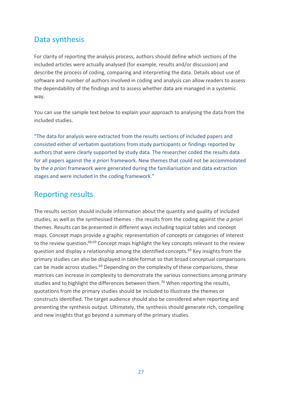### <span id="page-28-0"></span>Data synthesis

For clarity of reporting the analysis process, authors should define which sections of the included articles were actually analysed (for example, results and/or discussion) and describe the process of coding, comparing and interpreting the data. Details about use of software and number of authors involved in coding and analysis can allow readers to assess the dependability of the findings and to assess whether data are managed in a systemic way.

You can use the sample text below to explain your approach to analysing the data from the included studies.

"The data for analysis were extracted from the results sections of included papers and consisted either of verbatim quotations from study participants or findings reported by authors that were clearly supported by study data. The researcher coded the results data for all papers against the *a priori* framework. New themes that could not be accommodated by the *a priori* framework were generated during the familiarisation and data extraction stages and were included in the coding framework."

### <span id="page-28-1"></span>Reporting results

The results section should include information about the quantity and quality of included studies, as well as the synthesised themes - the results from the coding against the *a priori* themes. Results can be presented in different ways including topical tables and concept maps. Concept maps provide a graphic representation of concepts or categories of interest to the review question.<sup>68,69</sup> Concept maps highlight the key concepts relevant to the review question and display a relationship among the identified concepts.<sup>69</sup> Key insights from the primary studies can also be displayed in table format so that broad conceptual comparisons can be made across studies.<sup>69</sup> Depending on the complexity of these comparisons, these matrices can increase in complexity to demonstrate the various connections among primary studies and to highlight the differences between them.<sup>70</sup> When reporting the results, quotations from the primary studies should be included to illustrate the themes or constructs identified. The target audience should also be considered when reporting and presenting the synthesis output. Ultimately, the synthesis should generate rich, compelling and new insights that go beyond a summary of the primary studies.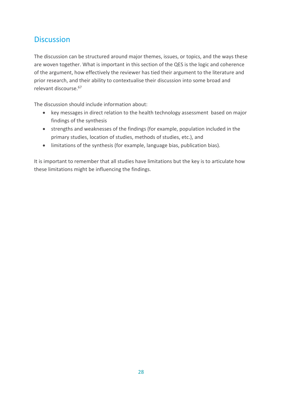### <span id="page-29-0"></span>**Discussion**

The discussion can be structured around major themes, issues, or topics, and the ways these are woven together. What is important in this section of the QES is the logic and coherence of the argument, how effectively the reviewer has tied their argument to the literature and prior research, and their ability to contextualise their discussion into some broad and relevant discourse.<sup>67</sup>

The discussion should include information about:

- key messages in direct relation to the health technology assessment based on major findings of the synthesis
- strengths and weaknesses of the findings (for example, population included in the primary studies, location of studies, methods of studies, etc.), and
- limitations of the synthesis (for example, language bias, publication bias).

It is important to remember that all studies have limitations but the key is to articulate how these limitations might be influencing the findings.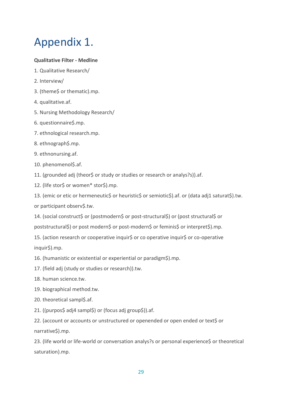## <span id="page-30-0"></span>Appendix 1.

#### **Qualitative Filter - Medline**

- 1. Qualitative Research/
- 2. Interview/
- 3. (theme\$ or thematic).mp.
- 4. qualitative.af.
- 5. Nursing Methodology Research/
- 6. questionnaire\$.mp.
- 7. ethnological research.mp.
- 8. ethnograph\$.mp.
- 9. ethnonursing.af.
- 10. phenomenol\$.af.
- 11. (grounded adj (theor\$ or study or studies or research or analys?s)).af.
- 12. (life stor\$ or women\* stor\$).mp.

13. (emic or etic or hermeneutic\$ or heuristic\$ or semiotic\$).af. or (data adj1 saturat\$).tw. or participant observ\$.tw.

14. (social construct\$ or (postmodern\$ or post-structural\$) or (post structural\$ or poststructural\$) or post modern\$ or post-modern\$ or feminis\$ or interpret\$).mp.

15. (action research or cooperative inquir\$ or co operative inquir\$ or co-operative inquir\$).mp.

16. (humanistic or existential or experiential or paradigm\$).mp.

- 17. (field adj (study or studies or research)).tw.
- 18. human science.tw.
- 19. biographical method.tw.
- 20. theoretical sampl\$.af.
- 21. ((purpos\$ adj4 sampl\$) or (focus adj group\$)).af.

22. (account or accounts or unstructured or openended or open ended or text\$ or narrative\$).mp.

23. (life world or life-world or conversation analys?s or personal experience\$ or theoretical saturation).mp.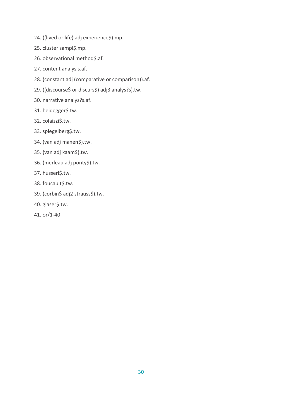- 24. ((lived or life) adj experience\$).mp.
- 25. cluster sampl\$.mp.
- 26. observational method\$.af.
- 27. content analysis.af.
- 28. (constant adj (comparative or comparison)).af.
- 29. ((discourse\$ or discurs\$) adj3 analys?s).tw.
- 30. narrative analys?s.af.
- 31. heidegger\$.tw.
- 32. colaizzi\$.tw.
- 33. spiegelberg\$.tw.
- 34. (van adj manen\$).tw.
- 35. (van adj kaam\$).tw.
- 36. (merleau adj ponty\$).tw.
- 37. husserl\$.tw.
- 38. foucault\$.tw.
- 39. (corbin\$ adj2 strauss\$).tw.
- 40. glaser\$.tw.
- 41. or/1-40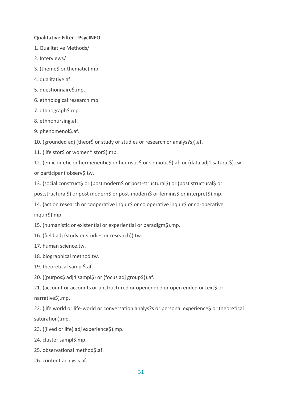#### **Qualitative Filter - PsycINFO**

- 1. Qualitative Methods/
- 2. Interviews/
- 3. (theme\$ or thematic).mp.
- 4. qualitative.af.
- 5. questionnaire\$.mp.
- 6. ethnological research.mp.
- 7. ethnograph\$.mp.
- 8. ethnonursing.af.
- 9. phenomenol\$.af.

10. (grounded adj (theor\$ or study or studies or research or analys?s)).af.

11. (life stor\$ or women\* stor\$).mp.

12. (emic or etic or hermeneutic\$ or heuristic\$ or semiotic\$).af. or (data adj1 saturat\$).tw. or participant observ\$.tw.

13. (social construct\$ or (postmodern\$ or post-structural\$) or (post structural\$ or poststructural\$) or post modern\$ or post-modern\$ or feminis\$ or interpret\$).mp.

14. (action research or cooperative inquir\$ or co operative inquir\$ or co-operative inquir\$).mp.

15. (humanistic or existential or experiential or paradigm\$).mp.

16. (field adj (study or studies or research)).tw.

17. human science.tw.

- 18. biographical method.tw.
- 19. theoretical sampl\$.af.
- 20. ((purpos\$ adj4 sampl\$) or (focus adj group\$)).af.

21. (account or accounts or unstructured or openended or open ended or text\$ or narrative\$).mp.

22. (life world or life-world or conversation analys?s or personal experience\$ or theoretical saturation).mp.

23. ((lived or life) adj experience\$).mp.

24. cluster sampl\$.mp.

- 25. observational method\$.af.
- 26. content analysis.af.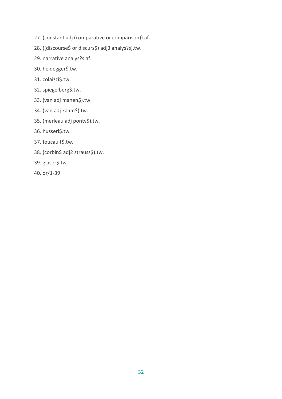- 27. (constant adj (comparative or comparison)).af.
- 28. ((discourse\$ or discurs\$) adj3 analys?s).tw.
- 29. narrative analys?s.af.
- 30. heidegger\$.tw.
- 31. colaizzi\$.tw.
- 32. spiegelberg\$.tw.
- 33. (van adj manen\$).tw.
- 34. (van adj kaam\$).tw.
- 35. (merleau adj ponty\$).tw.
- 36. husserl\$.tw.
- 37. foucault\$.tw.
- 38. (corbin\$ adj2 strauss\$).tw.
- 39. glaser\$.tw.
- 40. or/1-39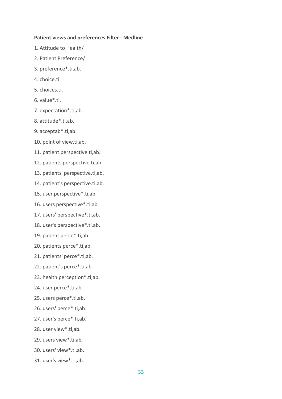#### **Patient views and preferences Filter - Medline**

- 1. Attitude to Health/
- 2. Patient Preference/
- 3. preference\*.ti,ab.
- 4. choice.ti.
- 5. choices.ti.
- 6. value\*.ti.
- 7. expectation\*.ti,ab.
- 8. attitude\*.ti,ab.
- 9. acceptab\*.ti,ab.
- 10. point of view.ti,ab.
- 11. patient perspective.ti,ab.
- 12. patients perspective.ti,ab.
- 13. patients' perspective.ti,ab.
- 14. patient's perspective.ti,ab.
- 15. user perspective\*.ti,ab.
- 16. users perspective\*.ti,ab.
- 17. users' perspective\*.ti,ab.
- 18. user's perspective\*.ti,ab.
- 19. patient perce\*.ti,ab.
- 20. patients perce\*.ti,ab.
- 21. patients' perce\*.ti,ab.
- 22. patient's perce\*.ti,ab.
- 23. health perception\*.ti,ab.
- 24. user perce\*.ti,ab.
- 25. users perce\*.ti,ab.
- 26. users' perce\*.ti,ab.
- 27. user's perce\*.ti,ab.
- 28. user view\*.ti,ab.
- 29. users view\*.ti,ab.
- 30. users' view\*.ti,ab.
- 31. user's view\*.ti,ab.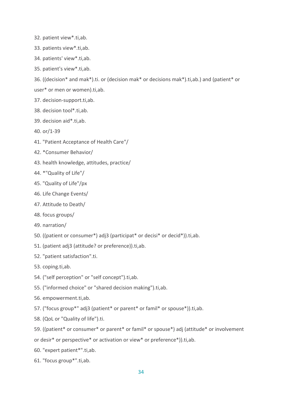- 32. patient view\*.ti,ab.
- 33. patients view\*.ti,ab.
- 34. patients' view\*.ti,ab.
- 35. patient's view\*.ti,ab.

36. ((decision\* and mak\*).ti. or (decision mak\* or decisions mak\*).ti,ab.) and (patient\* or

- user\* or men or women).ti,ab.
- 37. decision-support.ti,ab.
- 38. decision tool\*.ti,ab.
- 39. decision aid\*.ti,ab.
- 40. or/1-39
- 41. "Patient Acceptance of Health Care"/
- 42. \*Consumer Behavior/
- 43. health knowledge, attitudes, practice/
- 44. \*"Quality of Life"/
- 45. "Quality of Life"/px
- 46. Life Change Events/
- 47. Attitude to Death/
- 48. focus groups/
- 49. narration/
- 50. ((patient or consumer\*) adj3 (participat\* or decisi\* or decid\*)).ti,ab.
- 51. (patient adj3 (attitude? or preference)).ti,ab.
- 52. "patient satisfaction".ti.
- 53. coping.ti,ab.
- 54. ("self perception" or "self concept").ti,ab.
- 55. ("informed choice" or "shared decision making").ti,ab.
- 56. empowerment.ti,ab.
- 57. ("focus group\*" adj3 (patient\* or parent\* or famil\* or spouse\*)).ti,ab.
- 58. (QoL or "Quality of life").ti.
- 59. ((patient\* or consumer\* or parent\* or famil\* or spouse\*) adj (attitude\* or involvement
- or desir\* or perspective\* or activation or view\* or preference\*)).ti,ab.
- 60. "expert patient\*".ti,ab.
- 61. "focus group\*".ti,ab.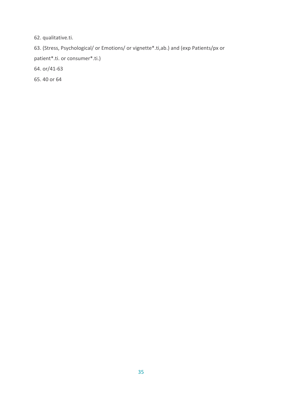62. qualitative.ti.

63. (Stress, Psychological/ or Emotions/ or vignette\*.ti,ab.) and (exp Patients/px or patient\*.ti. or consumer\*.ti.)

64. or/41-63

65. 40 or 64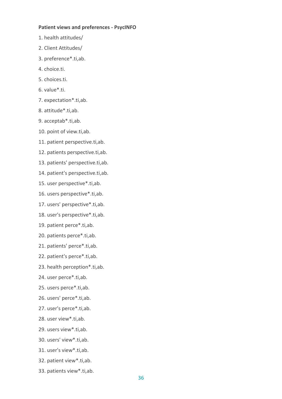#### **Patient views and preferences - PsycINFO**

- 1. health attitudes/
- 2. Client Attitudes/
- 3. preference\*.ti,ab.
- 4. choice.ti.
- 5. choices.ti.
- 6. value\*.ti.
- 7. expectation\*.ti,ab.
- 8. attitude\*.ti,ab.
- 9. acceptab\*.ti,ab.
- 10. point of view.ti,ab.
- 11. patient perspective.ti,ab.
- 12. patients perspective.ti,ab.
- 13. patients' perspective.ti,ab.
- 14. patient's perspective.ti,ab.
- 15. user perspective\*.ti,ab.
- 16. users perspective\*.ti,ab.
- 17. users' perspective\*.ti,ab.
- 18. user's perspective\*.ti,ab.
- 19. patient perce\*.ti,ab.
- 20. patients perce\*.ti,ab.
- 21. patients' perce\*.ti,ab.
- 22. patient's perce\*.ti,ab.
- 23. health perception\*.ti,ab.
- 24. user perce\*.ti,ab.
- 25. users perce\*.ti,ab.
- 26. users' perce\*.ti,ab.
- 27. user's perce\*.ti,ab.
- 28. user view\*.ti,ab.
- 29. users view\*.ti,ab.
- 30. users' view\*.ti,ab.
- 31. user's view\*.ti,ab.
- 32. patient view\*.ti,ab.
- 33. patients view\*.ti,ab.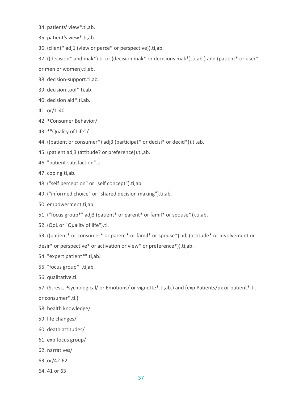- 34. patients' view\*.ti,ab.
- 35. patient's view\*.ti,ab.
- 36. (client\* adj1 (view or perce\* or perspective)).ti,ab.
- 37. ((decision\* and mak\*).ti. or (decision mak\* or decisions mak\*).ti,ab.) and (patient\* or user\*
- or men or women).ti,ab.
- 38. decision-support.ti,ab.
- 39. decision tool\*.ti,ab.
- 40. decision aid\*.ti,ab.
- 41. or/1-40
- 42. \*Consumer Behavior/
- 43. \*"Quality of Life"/
- 44. ((patient or consumer\*) adj3 (participat\* or decisi\* or decid\*)).ti,ab.
- 45. (patient adj3 (attitude? or preference)).ti,ab.
- 46. "patient satisfaction".ti.
- 47. coping.ti,ab.
- 48. ("self perception" or "self concept").ti,ab.
- 49. ("informed choice" or "shared decision making").ti,ab.
- 50. empowerment.ti,ab.
- 51. ("focus group\*" adj3 (patient\* or parent\* or famil\* or spouse\*)).ti,ab.
- 52. (QoL or "Quality of life").ti.
- 53. ((patient\* or consumer\* or parent\* or famil\* or spouse\*) adj (attitude\* or involvement or desir\* or perspective\* or activation or view\* or preference\*)).ti,ab.
- 54. "expert patient\*".ti,ab.
- 55. "focus group\*".ti,ab.
- 56. qualitative.ti.
- 57. (Stress, Psychological/ or Emotions/ or vignette\*.ti,ab.) and (exp Patients/px or patient\*.ti. or consumer\*.ti.)
- 58. health knowledge/
- 59. life changes/
- 60. death attitudes/
- 61. exp focus group/
- 62. narratives/
- 63. or/42-62
- 64. 41 or 63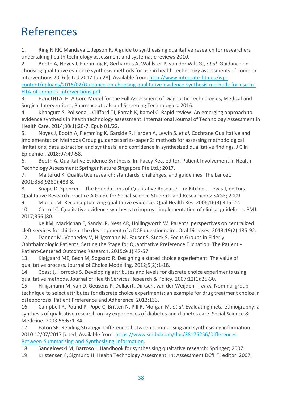## References

1. Ring N RK, Mandava L, Jepson R. A guide to synthesising qualitative research for researchers undertaking health technology assessment and systematic reviews 2010.

2. Booth A, Noyes J, Flemming K, Gerhardus A, Wahlster P, van der Wilt GJ*, et al.* Guidance on choosing qualitative evidence synthesis methods for use in health technology assessments of complex interventions 2016 [cited 2017 Jun 28]; Available from: [http://www.integrate-hta.eu/wp](http://www.integrate-hta.eu/wp-content/uploads/2016/02/Guidance-on-choosing-qualitative-evidence-synthesis-methods-for-use-in-HTA-of-complex-interventions.pdf)[content/uploads/2016/02/Guidance-on-choosing-qualitative-evidence-synthesis-methods-for-use-in-](http://www.integrate-hta.eu/wp-content/uploads/2016/02/Guidance-on-choosing-qualitative-evidence-synthesis-methods-for-use-in-HTA-of-complex-interventions.pdf)[HTA-of-complex-interventions.pdf.](http://www.integrate-hta.eu/wp-content/uploads/2016/02/Guidance-on-choosing-qualitative-evidence-synthesis-methods-for-use-in-HTA-of-complex-interventions.pdf)

3. EUnetHTA. HTA Core Model for the Full Assessment of Diagnostic Technologies, Medical and Surgical Interventions, Pharmaceuticals and Screening Technologies. 2016.

4. Khangura S, Polisena J, Clifford TJ, Farrah K, Kamel C. Rapid review: An emerging approach to evidence synthesis in health technology assessment. International Journal of Technology Assessment in Health Care. 2014;30(1):20-7. Epub 01/22.

5. Noyes J, Booth A, Flemming K, Garside R, Harden A, Lewin S*, et al.* Cochrane Qualitative and Implementation Methods Group guidance series-paper 2: methods for assessing methodological limitations, data extraction and synthesis, and confidence in synthesized qualitative findings. J Clin Epidemiol. 2018;97:49-58.

6. Booth A. Qualitative Evidence Synthesis. In: Facey Kea, editor. Patient Involvement in Health Technology Assessment: Springer Nature Singapore Pte Ltd.; 2017.

7. Malterud K. Qualitative research: standards, challenges, and guidelines. The Lancet. 2001;358(9280):483-8.

8. Snape D, Spencer L. The Foundations of Qualitative Research. In: Ritchie J, Lewis J, editors. Qualitative Research Practice A Guide for Social Science Students and Researhcers: SAGE; 2009.

9. Morse JM. Reconceptualizing qualitative evidence. Qual Health Res. 2006;16(3):415-22. 10. Carroll C. Qualitative evidence synthesis to improve implementation of clinical guidelines. BMJ. 2017;356:j80.

11. Ke KM, Mackichan F, Sandy JR, Ness AR, Hollingworth W. Parents' perspectives on centralized cleft services for children: the development of a DCE questionnaire. Oral Diseases. 2013;19(2):185-92.

12. Danner M, Vennedey V, Hiligsmann M, Fauser S, Stock S. Focus Groups in Elderly Ophthalmologic Patients: Setting the Stage for Quantitative Preference Elicitation. The Patient - Patient-Centered Outcomes Research. 2015;9(1):47-57.

13. Kløjgaard ME, Bech M, Søgaard R. Designing a stated choice experiement: The value of qualitative process. Journal of Choice Modelling. 2012;5(2):1-18.

14. Coast J, Horrocks S. Developing attributes and levels for discrete choice experiments using qualitative methods. Journal of Health Services Research & Policy. 2007;12(1):25-30.

15. Hiligsmann M, van D, Geusens P, Dellaert, Dirksen, van der Weijden T*, et al.* Nominal group technique to select attributes for discrete choice experiments: an example for drug treatment choice in osteoporosis. Patient Preference and Adherence. 2013:133.

16. Campbell R, Pound P, Pope C, Britten N, Pill R, Morgan M*, et al.* Evaluating meta-ethnography: a synthesis of qualitative research on lay experiences of diabetes and diabetes care. Social Science & Medicine. 2003;56:671-84.

17. Eaton SE. Reading Strategy: Differences between summarising and synthesising information. 2010 12/07/2017 [cited; Available from: [https://www.scribd.com/doc/38175256/Differences-](https://www.scribd.com/doc/38175256/Differences-Between-Summarizing-and-Synthesizing-Information)[Between-Summarizing-and-Synthesizing-Information.](https://www.scribd.com/doc/38175256/Differences-Between-Summarizing-and-Synthesizing-Information)

18. Sandelowski M, Barroso J. Handbook for synthesising qualtative research: Springer; 2007.

19. Kristensen F, Sigmund H. Health Technology Assesment. In: Assessment DCfHT, editor. 2007.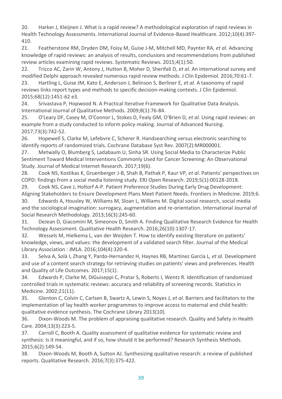20. Harker J, Kleijnen J. What is a rapid review? A methodological exploration of rapid reviews in Health Technology Assessments. International Journal of Evidence-Based Healthcare. 2012;10(4):397- 410.

21. Featherstone RM, Dryden DM, Foisy M, Guise J-M, Mitchell MD, Paynter RA*, et al.* Advancing knowledge of rapid reviews: an analysis of results, conclusions and recommendations from published review articles examining rapid reviews. Systematic Reviews. 2015;4(1):50.

22. Tricco AC, Zarin W, Antony J, Hutton B, Moher D, Sherifali D*, et al.* An international survey and modified Delphi approach revealed numerous rapid review methods. J Clin Epidemiol. 2016;70:61-7.

23. Hartling L, Guise JM, Kato E, Anderson J, Belinson S, Berliner E*, et al.* A taxonomy of rapid reviews links report types and methods to specific decision-making contexts. J Clin Epidemiol. 2015;68(12):1451-62 e3.

24. Srivastava P, Hopwood N. A Practical Iterative Framework for Qualitative Data Analysis. International Journal of Qualitative Methods. 2009;8(1):76-84.

25. O'Leary DF, Casey M, O'Connor L, Stokes D, Fealy GM, O'Brien D*, et al.* Using rapid reviews: an example from a study conducted to inform policy-making. Journal of Advanced Nursing. 2017;73(3):742-52.

26. Hopewell S, Clarke M, Lefebvre C, Scherer R. Handsearching versus electronic searching to identify reports of randomized trials. Cochrane Database Syst Rev. 2007(2):MR000001.

27. Metwally O, Blumberg S, Ladabaum U, Sinha SR. Using Social Media to Characterize Public Sentiment Toward Medical Interventions Commonly Used for Cancer Screening: An Observational Study. Journal of Medical Internet Research. 2017;19(6).

28. Cook NS, Kostikas K, Gruenberger J-B, Shah B, Pathak P, Kaur VP*, et al.* Patients' perspectives on COPD: findings from a social media listening study. ERJ Open Research. 2019;5(1):00128-2018.

29. Cook NS, Cave J, Holtorf A-P. Patient Preference Studies During Early Drug Development: Aligning Stakeholders to Ensure Development Plans Meet Patient Needs. Frontiers in Medicine. 2019;6.

30. Edwards A, Housley W, Williams M, Sloan L, Williams M. Digital social research, social media and the sociological imagination: surrogacy, augmentation and re-orientation. International Journal of Social Research Methodology. 2013;16(3):245-60.

31. DeJean D, Giacomini M, Simeonov D, Smith A. Finding Qualitative Research Evidence for Health Technology Assessment. Qualitative Health Research. 2016;26(10):1307-17.

32. Wessels M, Hielkema L, van der Weijden T. How to identify existing literature on patients' knowledge, views, and values: the development of a validated search filter. Journal of the Medical Library Association : JMLA. 2016;104(4):320-4.

33. Selva A, Solà I, Zhang Y, Pardo-Hernandez H, Haynes RB, Martínez García L*, et al.* Development and use of a content search strategy for retrieving studies on patients' views and preferences. Health and Quality of Life Outcomes. 2017;15(1).

34. Edwards P, Clarke M, DiGuiseppi C, Pratar S, Roberts I, Wentz R. Identification of randomized controlled trials in systematic reviews: accuracy and reliability of screening records. Statistics in Medicine. 2002;21(11).

35. Glenton C, Colvin C, Carlsen B, Swartz A, Lewin S, Noyes J*, et al.* Barriers and facilitators to the implementation of lay health worker programmes to improve access to maternal and child health: qualitative evidence synthesis. The Cochrane Library 2013(10).

36. Dixon-Woods M. The problem of appraising qualitative research. Quality and Safety in Health Care. 2004;13(3):223-5.

37. Carroll C, Booth A. Quality assessment of qualitative evidence for systematic review and synthesis: Is it meaningful, and if so, how should it be performed? Research Synthesis Methods. 2015;6(2):149-54.

38. Dixon-Woods M, Booth A, Sutton AJ. Synthesizing qualitative research: a review of published reports. Qualitative Research. 2016;7(3):375-422.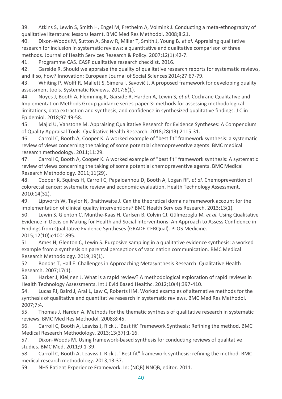39. Atkins S, Lewin S, Smith H, Engel M, Fretheim A, Volmink J. Conducting a meta-ethnography of qualitative literature: lessons learnt. BMC Med Res Methodol. 2008;8:21.

40. Dixon-Woods M, Sutton A, Shaw R, Miller T, Smith J, Young B*, et al.* Appraising qualitative research for inclusion in systematic reviews: a quantitative and qualitative comparison of three methods. Journal of Health Services Research & Policy. 2007;12(1):42-7.

41. Programme CAS. CASP qualitative research checklist. 2016.

42. Garside R. Should we appraise the quality of qualitative research reports for systematic reviews, and if so, how? Innovation: European Journal of Social Sciences 2014;27:67-79.

43. Whiting P, Wolff R, Mallett S, Simera I, Savović J. A proposed framework for developing quality assessment tools. Systematic Reviews. 2017;6(1).

44. Noyes J, Booth A, Flemming K, Garside R, Harden A, Lewin S*, et al.* Cochrane Qualitative and Implementation Methods Group guidance series-paper 3: methods for assessing methodological limitations, data extraction and synthesis, and confidence in synthesized qualitative findings. J Clin Epidemiol. 2018;97:49-58.

45. Majid U, Vanstone M. Appraising Qualitative Research for Evidence Syntheses: A Compendium of Quality Appraisal Tools. Qualitative Health Research. 2018;28(13):2115-31.

46. Carroll C, Booth A, Cooper K. A worked example of "best fit" framework synthesis: a systematic review of views concerning the taking of some potential chemopreventive agents. BMC medical research methodology. 2011;11:29.

47. Carroll C, Booth A, Cooper K. A worked example of "best fit" framework synthesis: A systematic review of views concerning the taking of some potential chemopreventive agents. BMC Medical Research Methodology. 2011;11(29).

48. Cooper K, Squires H, Carroll C, Papaioannou D, Booth A, Logan RF*, et al.* Chemoprevention of colorectal cancer: systematic review and economic evaluation. Health Technology Assessment. 2010;14(32).

49. Lipworth W, Taylor N, Braithwaite J. Can the theoretical domains framework account for the implementation of clinical quality interventions? BMC Health Services Research. 2013;13(1).

50. Lewin S, Glenton C, Munthe-Kaas H, Carlsen B, Colvin CJ, Gülmezoglu M*, et al.* Using Qualitative Evidence in Decision Making for Health and Social Interventions: An Approach to Assess Confidence in Findings from Qualitative Evidence Syntheses (GRADE-CERQual). PLOS Medicine. 2015;12(10):e1001895.

51. Ames H, Glenton C, Lewin S. Purposive sampling in a qualitative evidence synthesis: a worked example from a synthesis on parental perceptions of vaccination communication. BMC Medical Research Methodology. 2019;19(1).

52. Bondas T, Hall E. Challenges in Approaching Metasynthesis Research. Qualitative Health Research. 2007;17(1).

53. Harker J, Kleijnen J. What is a rapid review? A methodological exploration of rapid reviews in Health Technology Assessments. Int J Evid Based Healthc. 2012;10(4):397-410.

54. Lucas PJ, Baird J, Arai L, Law C, Roberts HM. Worked examples of alternative methods for the synthesis of qualitative and quantitative research in systematic reviews. BMC Med Res Methodol. 2007;7:4.

55. Thomas J, Harden A. Methods for the thematic synthesis of qualitative research in systematic reviews. BMC Med Res Methodol. 2008;8:45.

56. Carroll C, Booth A, Leaviss J, Rick J. 'Best fit' Framework Synthesis: Refining the method. BMC Medical Research Methodology. 2013;13(37):1-16.

57. Dixon-Woods M. Using framework-based synthesis for conducting reviews of qualitative studies. BMC Med. 2011;9:1-39.

58. Carroll C, Booth A, Leaviss J, Rick J. "Best fit" framework synthesis: refining the method. BMC medical research methodology. 2013;13:37.

59. NHS Patient Experience Framework. In: (NQB) NNQB, editor. 2011.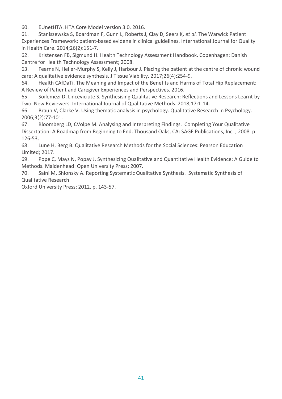60. EUnetHTA. HTA Core Model version 3.0. 2016.

61. Staniszewska S, Boardman F, Gunn L, Roberts J, Clay D, Seers K*, et al.* The Warwick Patient Experiences Framework: patient-based evidene in clinical guidelines. International Journal for Quality in Health Care. 2014;26(2):151-7.

62. Kristensen FB, Sigmund H. Health Technology Assessment Handbook. Copenhagen: Danish Centre for Health Technology Assessment; 2008.

63. Fearns N, Heller-Murphy S, Kelly J, Harbour J. Placing the patient at the centre of chronic wound care: A qualitative evidence synthesis. J Tissue Viability. 2017;26(4):254-9.

64. Health CAfDaTi. The Meaning and Impact of the Benefits and Harms of Total Hip Replacement: A Review of Patient and Caregiver Experiences and Perspectives. 2016.

65. Soilemezi D, Linceviciute S. Synthesising Qualitative Research: Reflections and Lessons Learnt by Two New Reviewers. International Journal of Qualitative Methods. 2018;17:1-14.

66. Braun V, Clarke V. Using thematic analysis in psychology. Qualitative Research in Psychology. 2006;3(2):77-101.

67. Bloomberg LD, CVolpe M. Analysing and Interpreting Findings. Completing Your Qualitative Dissertation: A Roadmap from Beginning to End. Thousand Oaks, CA: SAGE Publications, Inc. ; 2008. p. 126-53.

68. Lune H, Berg B. Qualitative Research Methods for the Social Sciences: Pearson Education Limited; 2017.

69. Pope C, Mays N, Popay J. Synthesizing Qualitative and Quantitative Health Evidence: A Guide to Methods. Maidenhead: Open University Press; 2007.

70. Saini M, Shlonsky A. Reporting Systematic Qualitative Synthesis. Systematic Synthesis of Qualitative Research

Oxford University Press; 2012. p. 143-57.